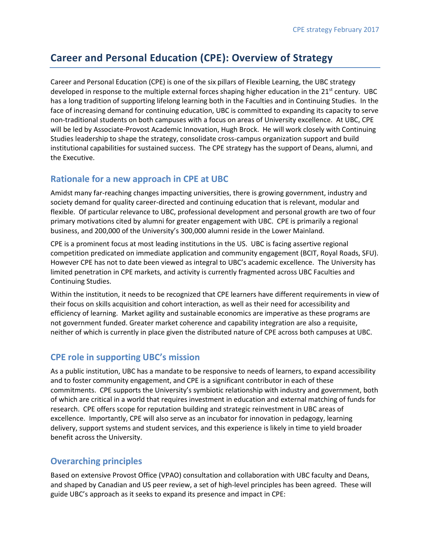# **Career and Personal Education (CPE): Overview of Strategy**

Career and Personal Education (CPE) is one of the six pillars of Flexible Learning, the UBC strategy developed in response to the multiple external forces shaping higher education in the  $21<sup>st</sup>$  century. UBC has a long tradition of supporting lifelong learning both in the Faculties and in Continuing Studies. In the face of increasing demand for continuing education, UBC is committed to expanding its capacity to serve non-traditional students on both campuses with a focus on areas of University excellence. At UBC, CPE will be led by Associate-Provost Academic Innovation, Hugh Brock. He will work closely with Continuing Studies leadership to shape the strategy, consolidate cross-campus organization support and build institutional capabilities for sustained success. The CPE strategy has the support of Deans, alumni, and the Executive.

#### **Rationale for a new approach in CPE at UBC**

Amidst many far-reaching changes impacting universities, there is growing government, industry and society demand for quality career-directed and continuing education that is relevant, modular and flexible. Of particular relevance to UBC, professional development and personal growth are two of four primary motivations cited by alumni for greater engagement with UBC. CPE is primarily a regional business, and 200,000 of the University's 300,000 alumni reside in the Lower Mainland.

CPE is a prominent focus at most leading institutions in the US. UBC is facing assertive regional competition predicated on immediate application and community engagement (BCIT, Royal Roads, SFU). However CPE has not to date been viewed as integral to UBC's academic excellence. The University has limited penetration in CPE markets, and activity is currently fragmented across UBC Faculties and Continuing Studies.

Within the institution, it needs to be recognized that CPE learners have different requirements in view of their focus on skills acquisition and cohort interaction, as well as their need for accessibility and efficiency of learning. Market agility and sustainable economics are imperative as these programs are not government funded. Greater market coherence and capability integration are also a requisite, neither of which is currently in place given the distributed nature of CPE across both campuses at UBC.

### **CPE role in supporting UBC's mission**

As a public institution, UBC has a mandate to be responsive to needs of learners, to expand accessibility and to foster community engagement, and CPE is a significant contributor in each of these commitments. CPE supports the University's symbiotic relationship with industry and government, both of which are critical in a world that requires investment in education and external matching of funds for research. CPE offers scope for reputation building and strategic reinvestment in UBC areas of excellence. Importantly, CPE will also serve as an incubator for innovation in pedagogy, learning delivery, support systems and student services, and this experience is likely in time to yield broader benefit across the University.

### **Overarching principles**

Based on extensive Provost Office (VPAO) consultation and collaboration with UBC faculty and Deans, and shaped by Canadian and US peer review, a set of high-level principles has been agreed. These will guide UBC's approach as it seeks to expand its presence and impact in CPE: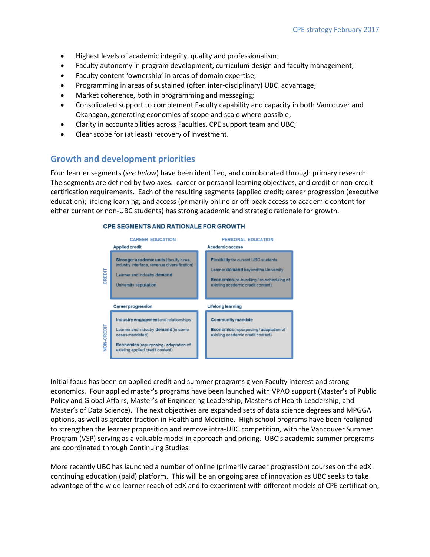- Highest levels of academic integrity, quality and professionalism;
- Faculty autonomy in program development, curriculum design and faculty management;
- Faculty content 'ownership' in areas of domain expertise;
- Programming in areas of sustained (often inter-disciplinary) UBC advantage;
- Market coherence, both in programming and messaging;
- Consolidated support to complement Faculty capability and capacity in both Vancouver and Okanagan, generating economies of scope and scale where possible;
- Clarity in accountabilities across Faculties, CPE support team and UBC;
- Clear scope for (at least) recovery of investment.

#### **Growth and development priorities**

Four learner segments (*see below*) have been identified, and corroborated through primary research. The segments are defined by two axes: career or personal learning objectives, and credit or non-credit certification requirements. Each of the resulting segments (applied credit; career progression (executive education); lifelong learning; and access (primarily online or off-peak access to academic content for either current or non-UBC students) has strong academic and strategic rationale for growth.

#### **CPE SEGMENTS AND RATIONALE FOR GROWTH**



Initial focus has been on applied credit and summer programs given Faculty interest and strong economics. Four applied master's programs have been launched with VPAO support (Master's of Public Policy and Global Affairs, Master's of Engineering Leadership, Master's of Health Leadership, and Master's of Data Science). The next objectives are expanded sets of data science degrees and MPGGA options, as well as greater traction in Health and Medicine. High school programs have been realigned to strengthen the learner proposition and remove intra-UBC competition, with the Vancouver Summer Program (VSP) serving as a valuable model in approach and pricing. UBC's academic summer programs are coordinated through Continuing Studies.

More recently UBC has launched a number of online (primarily career progression) courses on the edX continuing education (paid) platform. This will be an ongoing area of innovation as UBC seeks to take advantage of the wide learner reach of edX and to experiment with different models of CPE certification,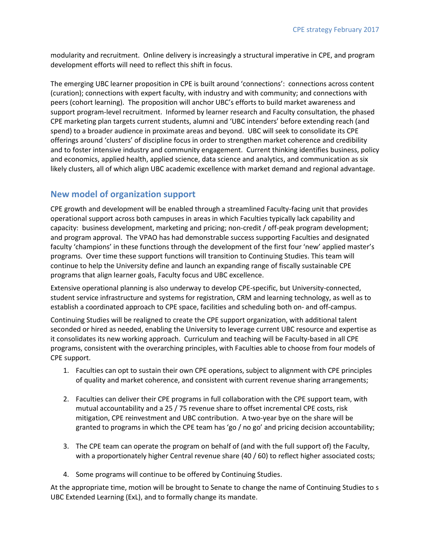modularity and recruitment. Online delivery is increasingly a structural imperative in CPE, and program development efforts will need to reflect this shift in focus.

The emerging UBC learner proposition in CPE is built around 'connections': connections across content (curation); connections with expert faculty, with industry and with community; and connections with peers (cohort learning). The proposition will anchor UBC's efforts to build market awareness and support program-level recruitment. Informed by learner research and Faculty consultation, the phased CPE marketing plan targets current students, alumni and 'UBC intenders' before extending reach (and spend) to a broader audience in proximate areas and beyond. UBC will seek to consolidate its CPE offerings around 'clusters' of discipline focus in order to strengthen market coherence and credibility and to foster intensive industry and community engagement. Current thinking identifies business, policy and economics, applied health, applied science, data science and analytics, and communication as six likely clusters, all of which align UBC academic excellence with market demand and regional advantage.

### **New model of organization support**

CPE growth and development will be enabled through a streamlined Faculty-facing unit that provides operational support across both campuses in areas in which Faculties typically lack capability and capacity: business development, marketing and pricing; non-credit / off-peak program development; and program approval. The VPAO has had demonstrable success supporting Faculties and designated faculty 'champions' in these functions through the development of the first four 'new' applied master's programs. Over time these support functions will transition to Continuing Studies. This team will continue to help the University define and launch an expanding range of fiscally sustainable CPE programs that align learner goals, Faculty focus and UBC excellence.

Extensive operational planning is also underway to develop CPE-specific, but University-connected, student service infrastructure and systems for registration, CRM and learning technology, as well as to establish a coordinated approach to CPE space, facilities and scheduling both on- and off-campus.

Continuing Studies will be realigned to create the CPE support organization, with additional talent seconded or hired as needed, enabling the University to leverage current UBC resource and expertise as it consolidates its new working approach. Curriculum and teaching will be Faculty-based in all CPE programs, consistent with the overarching principles, with Faculties able to choose from four models of CPE support.

- 1. Faculties can opt to sustain their own CPE operations, subject to alignment with CPE principles of quality and market coherence, and consistent with current revenue sharing arrangements;
- 2. Faculties can deliver their CPE programs in full collaboration with the CPE support team, with mutual accountability and a 25 / 75 revenue share to offset incremental CPE costs, risk mitigation, CPE reinvestment and UBC contribution. A two-year bye on the share will be granted to programs in which the CPE team has 'go / no go' and pricing decision accountability;
- 3. The CPE team can operate the program on behalf of (and with the full support of) the Faculty, with a proportionately higher Central revenue share (40 / 60) to reflect higher associated costs;
- 4. Some programs will continue to be offered by Continuing Studies.

At the appropriate time, motion will be brought to Senate to change the name of Continuing Studies to s UBC Extended Learning (ExL), and to formally change its mandate.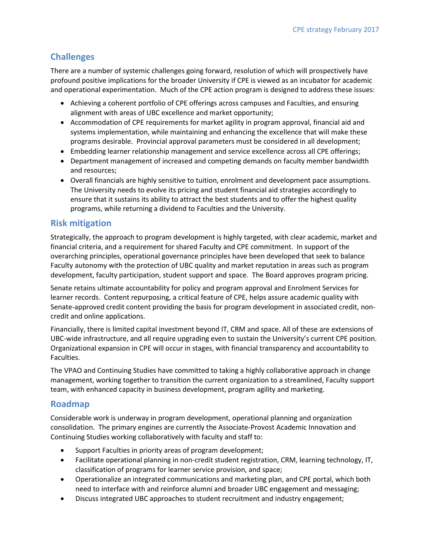# **Challenges**

There are a number of systemic challenges going forward, resolution of which will prospectively have profound positive implications for the broader University if CPE is viewed as an incubator for academic and operational experimentation. Much of the CPE action program is designed to address these issues:

- Achieving a coherent portfolio of CPE offerings across campuses and Faculties, and ensuring alignment with areas of UBC excellence and market opportunity;
- Accommodation of CPE requirements for market agility in program approval, financial aid and systems implementation, while maintaining and enhancing the excellence that will make these programs desirable. Provincial approval parameters must be considered in all development;
- Embedding learner relationship management and service excellence across all CPE offerings;
- Department management of increased and competing demands on faculty member bandwidth and resources;
- Overall financials are highly sensitive to tuition, enrolment and development pace assumptions. The University needs to evolve its pricing and student financial aid strategies accordingly to ensure that it sustains its ability to attract the best students and to offer the highest quality programs, while returning a dividend to Faculties and the University.

## **Risk mitigation**

Strategically, the approach to program development is highly targeted, with clear academic, market and financial criteria, and a requirement for shared Faculty and CPE commitment. In support of the overarching principles, operational governance principles have been developed that seek to balance Faculty autonomy with the protection of UBC quality and market reputation in areas such as program development, faculty participation, student support and space. The Board approves program pricing.

Senate retains ultimate accountability for policy and program approval and Enrolment Services for learner records. Content repurposing, a critical feature of CPE, helps assure academic quality with Senate-approved credit content providing the basis for program development in associated credit, noncredit and online applications.

Financially, there is limited capital investment beyond IT, CRM and space. All of these are extensions of UBC-wide infrastructure, and all require upgrading even to sustain the University's current CPE position. Organizational expansion in CPE will occur in stages, with financial transparency and accountability to Faculties.

The VPAO and Continuing Studies have committed to taking a highly collaborative approach in change management, working together to transition the current organization to a streamlined, Faculty support team, with enhanced capacity in business development, program agility and marketing.

### **Roadmap**

Considerable work is underway in program development, operational planning and organization consolidation. The primary engines are currently the Associate-Provost Academic Innovation and Continuing Studies working collaboratively with faculty and staff to:

- Support Faculties in priority areas of program development;
- Facilitate operational planning in non-credit student registration, CRM, learning technology, IT, classification of programs for learner service provision, and space;
- Operationalize an integrated communications and marketing plan, and CPE portal, which both need to interface with and reinforce alumni and broader UBC engagement and messaging;
- Discuss integrated UBC approaches to student recruitment and industry engagement;